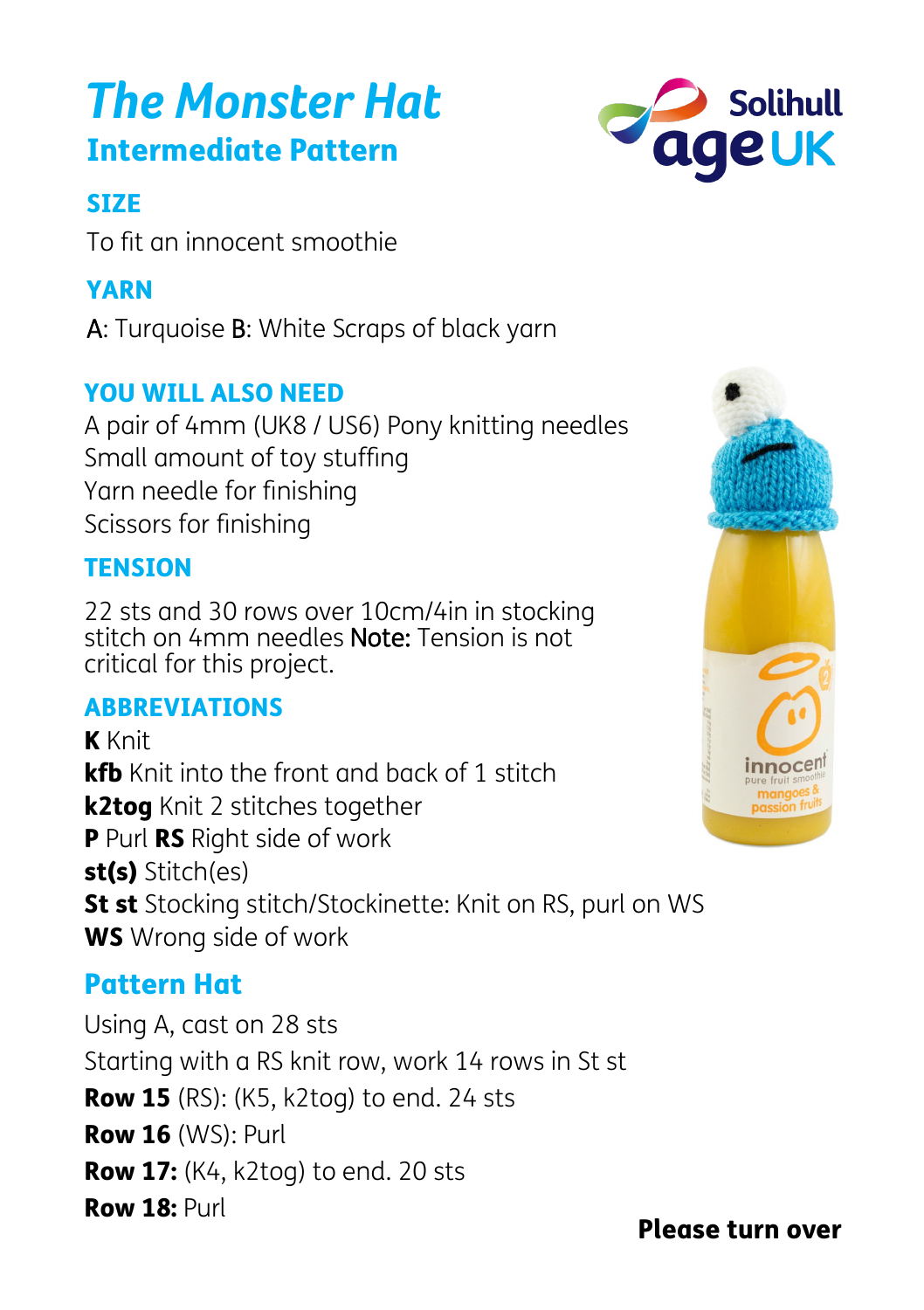# Intermediate Pattern *The Monster Hat*

# **SIZE**

To fit an innocent smoothie

# YARN

A: Turquoise B: White Scraps of black yarn

# YOU WILL ALSO NEED

A pair of 4mm (UK8 / US6) Pony knitting needles Small amount of toy stuffing Yarn needle for finishing Scissors for finishing

#### **TENSION**

22 sts and 30 rows over 10cm/4in in stocking stitch on 4mm needles Note: Tension is not critical for this project.

# **ABBREVIATIONS**

K Knit kfb Knit into the front and back of 1 stitch k2tog Knit 2 stitches together P Purl RS Right side of work st(s) Stitch(es) **St st** Stocking stitch/Stockinette: Knit on RS, purl on WS WS Wrong side of work

# Pattern Hat

Using A, cast on 28 sts Starting with a RS knit row, work 14 rows in St st **Row 15** (RS): (K5, k2tog) to end. 24 sts Row 16 (WS): Purl **Row 17:** (K4, k2tog) to end. 20 sts Row 18: Purl





Please turn over